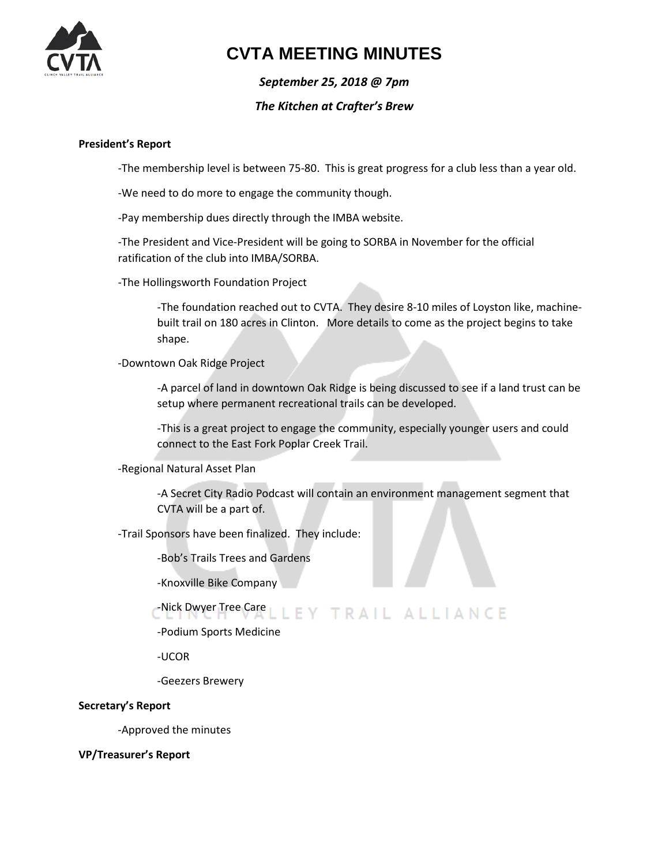

## **CVTA MEETING MINUTES**

*September 25, 2018 @ 7pm*

### *The Kitchen at Crafter's Brew*

#### **President's Report**

-The membership level is between 75-80. This is great progress for a club less than a year old.

-We need to do more to engage the community though.

-Pay membership dues directly through the IMBA website.

-The President and Vice-President will be going to SORBA in November for the official ratification of the club into IMBA/SORBA.

-The Hollingsworth Foundation Project

-The foundation reached out to CVTA. They desire 8-10 miles of Loyston like, machinebuilt trail on 180 acres in Clinton. More details to come as the project begins to take shape.

-Downtown Oak Ridge Project

-A parcel of land in downtown Oak Ridge is being discussed to see if a land trust can be setup where permanent recreational trails can be developed.

-This is a great project to engage the community, especially younger users and could connect to the East Fork Poplar Creek Trail.

-Regional Natural Asset Plan

-A Secret City Radio Podcast will contain an environment management segment that CVTA will be a part of.

-Trail Sponsors have been finalized. They include:

-Bob's Trails Trees and Gardens

-Knoxville Bike Company

#### -Nick Dwyer Tree Care LEY TRAIL ALLIANCE

-Podium Sports Medicine

-UCOR

-Geezers Brewery

#### **Secretary's Report**

-Approved the minutes

**VP/Treasurer's Report**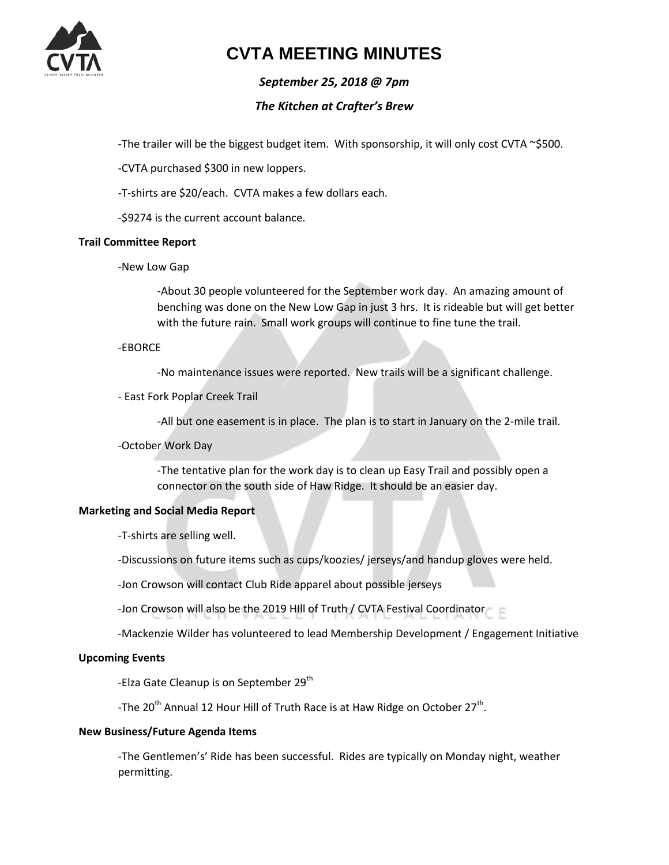

## **CVTA MEETING MINUTES**

## *September 25, 2018 @ 7pm*

### *The Kitchen at Crafter's Brew*

-The trailer will be the biggest budget item. With sponsorship, it will only cost CVTA ~\$500.

-CVTA purchased \$300 in new loppers.

-T-shirts are \$20/each. CVTA makes a few dollars each.

-\$9274 is the current account balance.

#### **Trail Committee Report**

-New Low Gap

-About 30 people volunteered for the September work day. An amazing amount of benching was done on the New Low Gap in just 3 hrs. It is rideable but will get better with the future rain. Small work groups will continue to fine tune the trail.

#### -EBORCE

-No maintenance issues were reported. New trails will be a significant challenge.

#### - East Fork Poplar Creek Trail

-All but one easement is in place. The plan is to start in January on the 2-mile trail.

#### -October Work Day

-The tentative plan for the work day is to clean up Easy Trail and possibly open a connector on the south side of Haw Ridge. It should be an easier day.

#### **Marketing and Social Media Report**

-T-shirts are selling well.

-Discussions on future items such as cups/koozies/ jerseys/and handup gloves were held.

-Jon Crowson will contact Club Ride apparel about possible jerseys

-Jon Crowson will also be the 2019 Hill of Truth / CVTA Festival Coordinator

-Mackenzie Wilder has volunteered to lead Membership Development / Engagement Initiative

### **Upcoming Events**

-Elza Gate Cleanup is on September 29<sup>th</sup>

-The 20<sup>th</sup> Annual 12 Hour Hill of Truth Race is at Haw Ridge on October 27<sup>th</sup>.

#### **New Business/Future Agenda Items**

-The Gentlemen's' Ride has been successful. Rides are typically on Monday night, weather permitting.